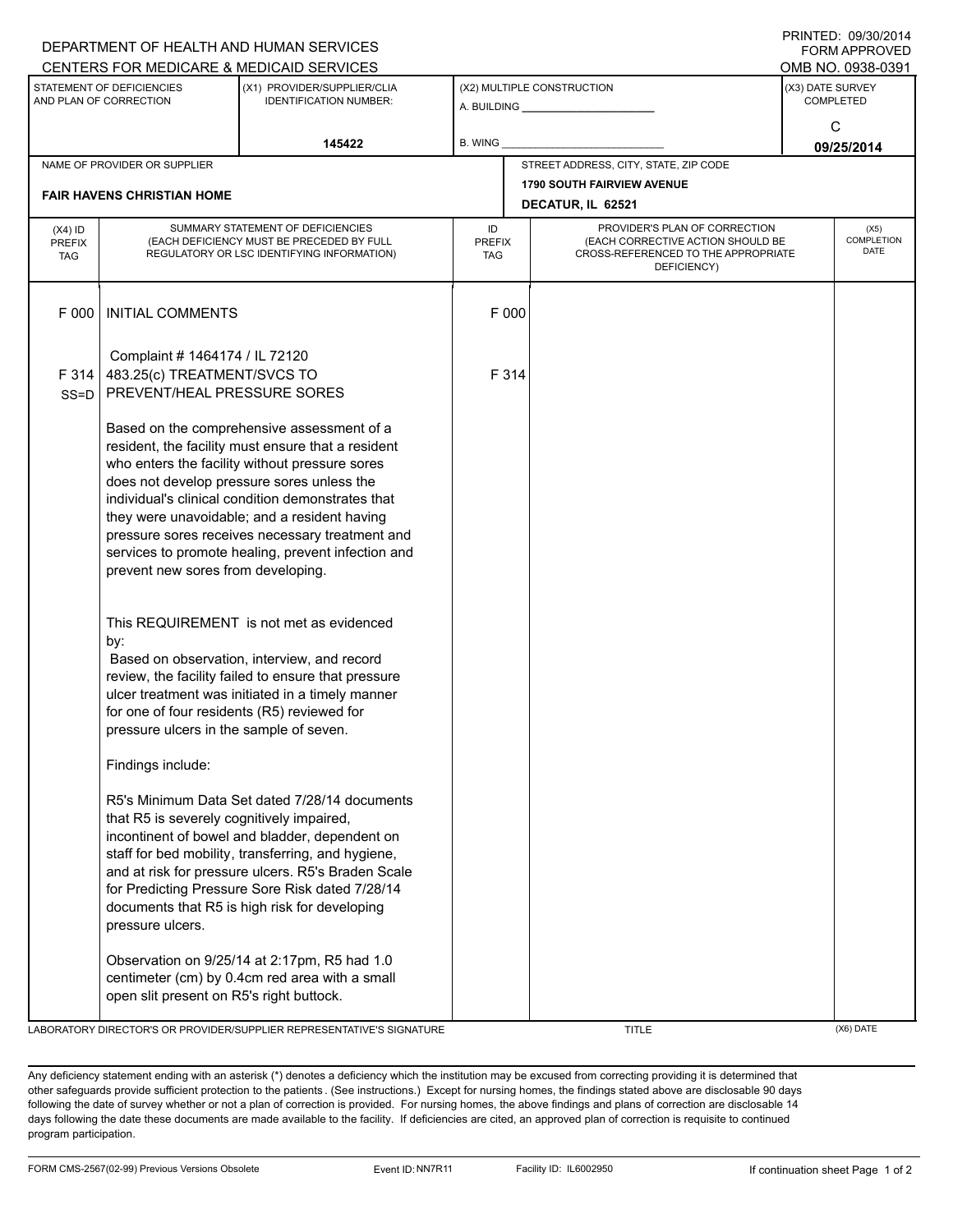|                                                     |                                                                                                                                                                                                                                                                                                                                                                                                                                                                                                                                                      | DEPARTMENT OF HEALTH AND HUMAN SERVICES                                                                                                                                                                                                                                                                                                                         |                            |                                                                                                                          |                                   | FORM APPROVED                        |  |  |  |
|-----------------------------------------------------|------------------------------------------------------------------------------------------------------------------------------------------------------------------------------------------------------------------------------------------------------------------------------------------------------------------------------------------------------------------------------------------------------------------------------------------------------------------------------------------------------------------------------------------------------|-----------------------------------------------------------------------------------------------------------------------------------------------------------------------------------------------------------------------------------------------------------------------------------------------------------------------------------------------------------------|----------------------------|--------------------------------------------------------------------------------------------------------------------------|-----------------------------------|--------------------------------------|--|--|--|
|                                                     |                                                                                                                                                                                                                                                                                                                                                                                                                                                                                                                                                      | CENTERS FOR MEDICARE & MEDICAID SERVICES                                                                                                                                                                                                                                                                                                                        |                            |                                                                                                                          |                                   | OMB NO. 0938-0391                    |  |  |  |
| STATEMENT OF DEFICIENCIES<br>AND PLAN OF CORRECTION |                                                                                                                                                                                                                                                                                                                                                                                                                                                                                                                                                      | (X1) PROVIDER/SUPPLIER/CLIA<br><b>IDENTIFICATION NUMBER:</b>                                                                                                                                                                                                                                                                                                    |                            | (X2) MULTIPLE CONSTRUCTION<br>A. BUILDING A. BUILDING                                                                    |                                   | (X3) DATE SURVEY<br><b>COMPLETED</b> |  |  |  |
|                                                     |                                                                                                                                                                                                                                                                                                                                                                                                                                                                                                                                                      | 145422                                                                                                                                                                                                                                                                                                                                                          | B. WING                    |                                                                                                                          | C<br>09/25/2014                   |                                      |  |  |  |
|                                                     | NAME OF PROVIDER OR SUPPLIER                                                                                                                                                                                                                                                                                                                                                                                                                                                                                                                         |                                                                                                                                                                                                                                                                                                                                                                 |                            | STREET ADDRESS, CITY, STATE, ZIP CODE                                                                                    |                                   |                                      |  |  |  |
|                                                     | <b>FAIR HAVENS CHRISTIAN HOME</b>                                                                                                                                                                                                                                                                                                                                                                                                                                                                                                                    |                                                                                                                                                                                                                                                                                                                                                                 |                            | <b>1790 SOUTH FAIRVIEW AVENUE</b>                                                                                        |                                   |                                      |  |  |  |
|                                                     |                                                                                                                                                                                                                                                                                                                                                                                                                                                                                                                                                      |                                                                                                                                                                                                                                                                                                                                                                 |                            | DECATUR, IL 62521                                                                                                        |                                   |                                      |  |  |  |
| $(X4)$ ID<br>PREFIX<br><b>TAG</b>                   | SUMMARY STATEMENT OF DEFICIENCIES<br>(EACH DEFICIENCY MUST BE PRECEDED BY FULL<br>REGULATORY OR LSC IDENTIFYING INFORMATION)                                                                                                                                                                                                                                                                                                                                                                                                                         |                                                                                                                                                                                                                                                                                                                                                                 | ID<br><b>PREFIX</b><br>TAG | PROVIDER'S PLAN OF CORRECTION<br>(EACH CORRECTIVE ACTION SHOULD BE<br>CROSS-REFERENCED TO THE APPROPRIATE<br>DEFICIENCY) | (X5)<br>COMPLETION<br><b>DATE</b> |                                      |  |  |  |
| F 000                                               | <b>INITIAL COMMENTS</b>                                                                                                                                                                                                                                                                                                                                                                                                                                                                                                                              |                                                                                                                                                                                                                                                                                                                                                                 | F 000                      |                                                                                                                          |                                   |                                      |  |  |  |
| F 314<br>$SS = D$                                   | Complaint # 1464174 / IL 72120<br>483.25(c) TREATMENT/SVCS TO<br>PREVENT/HEAL PRESSURE SORES<br>Based on the comprehensive assessment of a<br>resident, the facility must ensure that a resident<br>who enters the facility without pressure sores<br>does not develop pressure sores unless the<br>individual's clinical condition demonstrates that<br>they were unavoidable; and a resident having<br>pressure sores receives necessary treatment and<br>services to promote healing, prevent infection and<br>prevent new sores from developing. |                                                                                                                                                                                                                                                                                                                                                                 | F 314                      |                                                                                                                          |                                   |                                      |  |  |  |
|                                                     |                                                                                                                                                                                                                                                                                                                                                                                                                                                                                                                                                      |                                                                                                                                                                                                                                                                                                                                                                 |                            |                                                                                                                          |                                   |                                      |  |  |  |
|                                                     | by:<br>for one of four residents (R5) reviewed for<br>pressure ulcers in the sample of seven.                                                                                                                                                                                                                                                                                                                                                                                                                                                        | This REQUIREMENT is not met as evidenced<br>Based on observation, interview, and record<br>review, the facility failed to ensure that pressure<br>ulcer treatment was initiated in a timely manner                                                                                                                                                              |                            |                                                                                                                          |                                   |                                      |  |  |  |
|                                                     | Findings include:<br>that R5 is severely cognitively impaired,<br>pressure ulcers.                                                                                                                                                                                                                                                                                                                                                                                                                                                                   | R5's Minimum Data Set dated 7/28/14 documents<br>incontinent of bowel and bladder, dependent on<br>staff for bed mobility, transferring, and hygiene,<br>and at risk for pressure ulcers. R5's Braden Scale<br>for Predicting Pressure Sore Risk dated 7/28/14<br>documents that R5 is high risk for developing<br>Observation on 9/25/14 at 2:17pm, R5 had 1.0 |                            |                                                                                                                          |                                   |                                      |  |  |  |
|                                                     | open slit present on R5's right buttock.                                                                                                                                                                                                                                                                                                                                                                                                                                                                                                             | centimeter (cm) by 0.4cm red area with a small                                                                                                                                                                                                                                                                                                                  |                            |                                                                                                                          |                                   |                                      |  |  |  |

LABORATORY DIRECTOR'S OR PROVIDER/SUPPLIER REPRESENTATIVE'S SIGNATURE THE TITLE THE TITLE (X6) DATE

Any deficiency statement ending with an asterisk (\*) denotes a deficiency which the institution may be excused from correcting providing it is determined that other safeguards provide sufficient protection to the patients . (See instructions.) Except for nursing homes, the findings stated above are disclosable 90 days following the date of survey whether or not a plan of correction is provided. For nursing homes, the above findings and plans of correction are disclosable 14 days following the date these documents are made available to the facility. If deficiencies are cited, an approved plan of correction is requisite to continued program participation.

PRINTED: 09/30/2014 FORM APPROVED